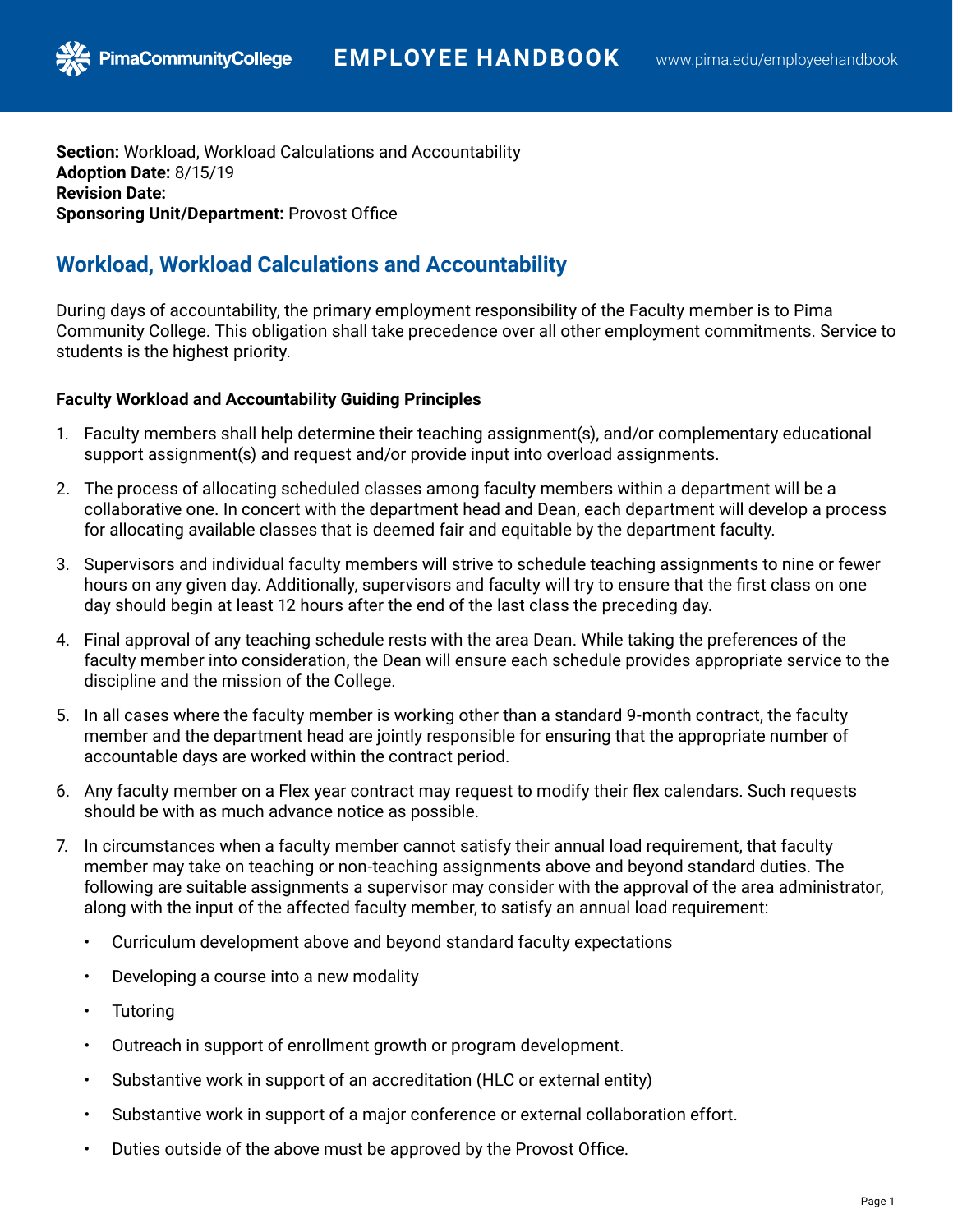**Section:** Workload, Workload Calculations and Accountability **Adoption Date:** 8/15/19 **Revision Date: Sponsoring Unit/Department:** Provost Office

# **Workload, Workload Calculations and Accountability**

During days of accountability, the primary employment responsibility of the Faculty member is to Pima Community College. This obligation shall take precedence over all other employment commitments. Service to students is the highest priority.

## **Faculty Workload and Accountability Guiding Principles**

- 1. Faculty members shall help determine their teaching assignment(s), and/or complementary educational support assignment(s) and request and/or provide input into overload assignments.
- 2. The process of allocating scheduled classes among faculty members within a department will be a collaborative one. In concert with the department head and Dean, each department will develop a process for allocating available classes that is deemed fair and equitable by the department faculty.
- 3. Supervisors and individual faculty members will strive to schedule teaching assignments to nine or fewer hours on any given day. Additionally, supervisors and faculty will try to ensure that the first class on one day should begin at least 12 hours after the end of the last class the preceding day.
- 4. Final approval of any teaching schedule rests with the area Dean. While taking the preferences of the faculty member into consideration, the Dean will ensure each schedule provides appropriate service to the discipline and the mission of the College.
- 5. In all cases where the faculty member is working other than a standard 9-month contract, the faculty member and the department head are jointly responsible for ensuring that the appropriate number of accountable days are worked within the contract period.
- 6. Any faculty member on a Flex year contract may request to modify their flex calendars. Such requests should be with as much advance notice as possible.
- 7. In circumstances when a faculty member cannot satisfy their annual load requirement, that faculty member may take on teaching or non-teaching assignments above and beyond standard duties. The following are suitable assignments a supervisor may consider with the approval of the area administrator, along with the input of the affected faculty member, to satisfy an annual load requirement:
	- Curriculum development above and beyond standard faculty expectations
	- Developing a course into a new modality
	- **Tutoring**
	- Outreach in support of enrollment growth or program development.
	- Substantive work in support of an accreditation (HLC or external entity)
	- Substantive work in support of a major conference or external collaboration effort.
	- Duties outside of the above must be approved by the Provost Office.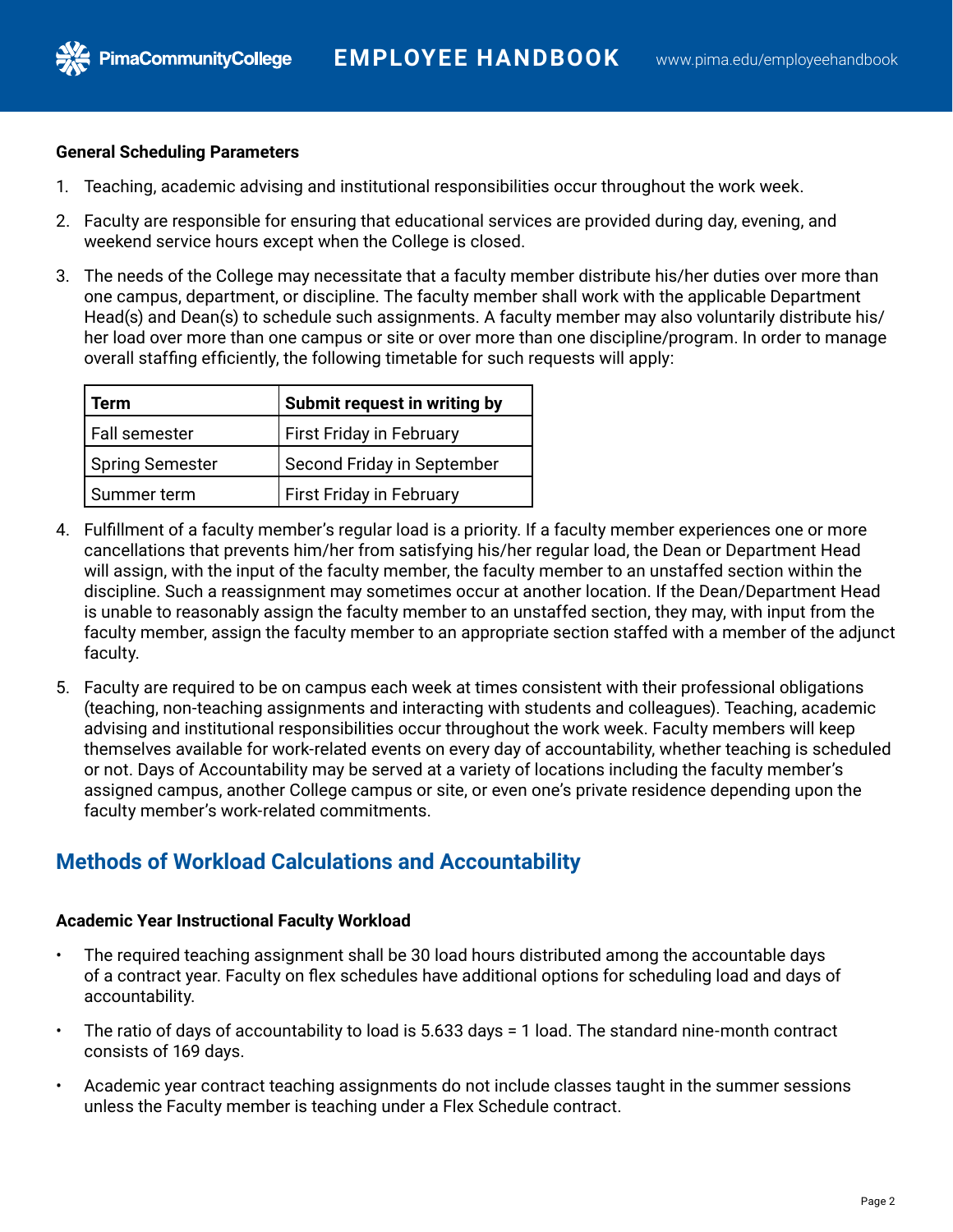### **General Scheduling Parameters**

PimaCommunityCollege

- 1. Teaching, academic advising and institutional responsibilities occur throughout the work week.
- 2. Faculty are responsible for ensuring that educational services are provided during day, evening, and weekend service hours except when the College is closed.
- 3. The needs of the College may necessitate that a faculty member distribute his/her duties over more than one campus, department, or discipline. The faculty member shall work with the applicable Department Head(s) and Dean(s) to schedule such assignments. A faculty member may also voluntarily distribute his/ her load over more than one campus or site or over more than one discipline/program. In order to manage overall staffing efficiently, the following timetable for such requests will apply:

| Term                   | Submit request in writing by |
|------------------------|------------------------------|
| Fall semester          | First Friday in February     |
| <b>Spring Semester</b> | Second Friday in September   |
| Summer term            | First Friday in February     |

- 4. Fulfillment of a faculty member's regular load is a priority. If a faculty member experiences one or more cancellations that prevents him/her from satisfying his/her regular load, the Dean or Department Head will assign, with the input of the faculty member, the faculty member to an unstaffed section within the discipline. Such a reassignment may sometimes occur at another location. If the Dean/Department Head is unable to reasonably assign the faculty member to an unstaffed section, they may, with input from the faculty member, assign the faculty member to an appropriate section staffed with a member of the adjunct faculty.
- 5. Faculty are required to be on campus each week at times consistent with their professional obligations (teaching, non-teaching assignments and interacting with students and colleagues). Teaching, academic advising and institutional responsibilities occur throughout the work week. Faculty members will keep themselves available for work-related events on every day of accountability, whether teaching is scheduled or not. Days of Accountability may be served at a variety of locations including the faculty member's assigned campus, another College campus or site, or even one's private residence depending upon the faculty member's work-related commitments.

# **Methods of Workload Calculations and Accountability**

### **Academic Year Instructional Faculty Workload**

- The required teaching assignment shall be 30 load hours distributed among the accountable days of a contract year. Faculty on flex schedules have additional options for scheduling load and days of accountability.
- The ratio of days of accountability to load is 5.633 days = 1 load. The standard nine-month contract consists of 169 days.
- Academic year contract teaching assignments do not include classes taught in the summer sessions unless the Faculty member is teaching under a Flex Schedule contract.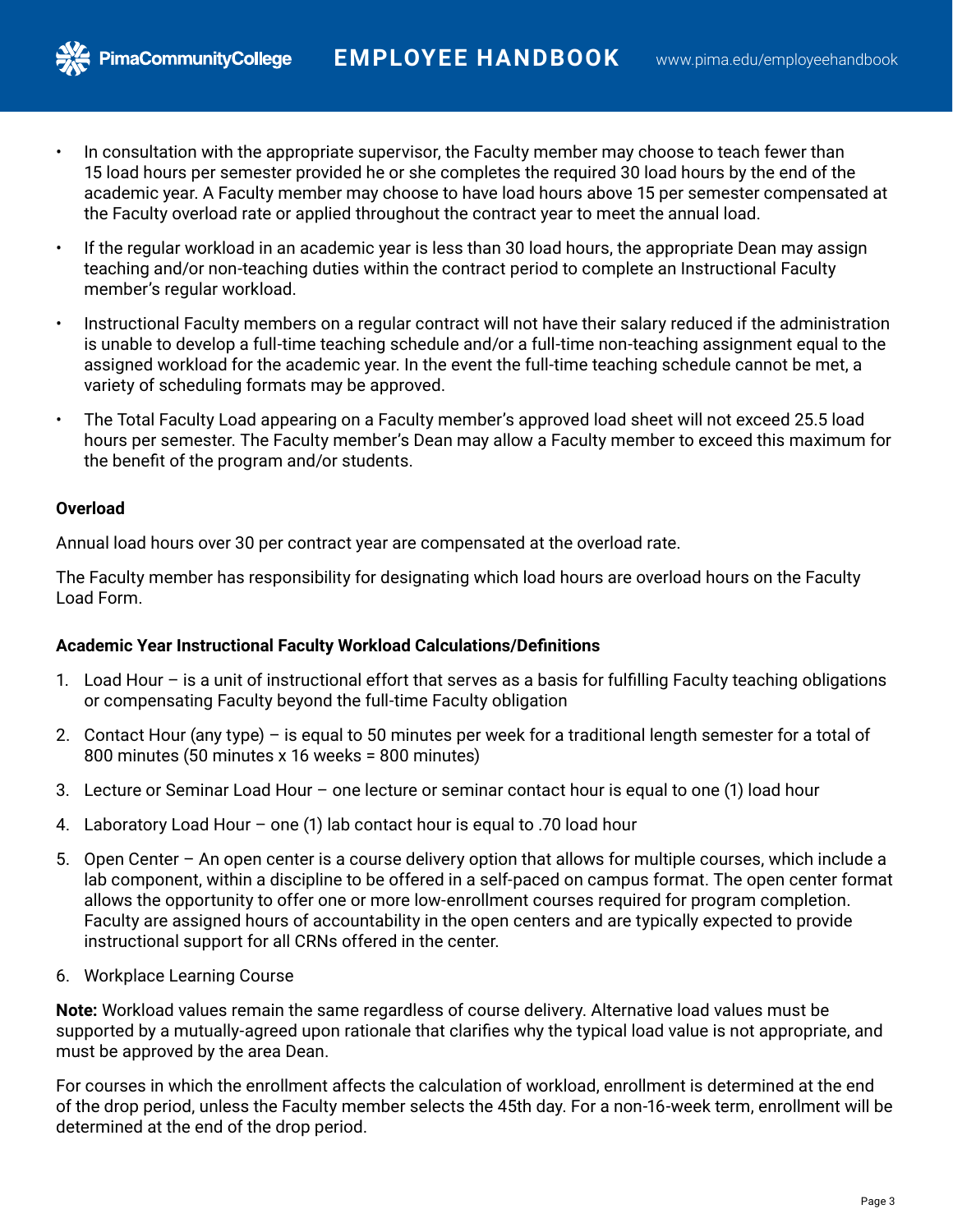- In consultation with the appropriate supervisor, the Faculty member may choose to teach fewer than 15 load hours per semester provided he or she completes the required 30 load hours by the end of the academic year. A Faculty member may choose to have load hours above 15 per semester compensated at the Faculty overload rate or applied throughout the contract year to meet the annual load.
- If the regular workload in an academic year is less than 30 load hours, the appropriate Dean may assign teaching and/or non-teaching duties within the contract period to complete an Instructional Faculty member's regular workload.
- Instructional Faculty members on a regular contract will not have their salary reduced if the administration is unable to develop a full-time teaching schedule and/or a full-time non-teaching assignment equal to the assigned workload for the academic year. In the event the full-time teaching schedule cannot be met, a variety of scheduling formats may be approved.
- The Total Faculty Load appearing on a Faculty member's approved load sheet will not exceed 25.5 load hours per semester. The Faculty member's Dean may allow a Faculty member to exceed this maximum for the benefit of the program and/or students.

### **Overload**

**PimaCommunityCollege** 

Annual load hours over 30 per contract year are compensated at the overload rate.

The Faculty member has responsibility for designating which load hours are overload hours on the Faculty Load Form.

# **Academic Year Instructional Faculty Workload Calculations/Definitions**

- 1. Load Hour is a unit of instructional effort that serves as a basis for fulfilling Faculty teaching obligations or compensating Faculty beyond the full-time Faculty obligation
- 2. Contact Hour (any type) is equal to 50 minutes per week for a traditional length semester for a total of 800 minutes (50 minutes x 16 weeks = 800 minutes)
- 3. Lecture or Seminar Load Hour one lecture or seminar contact hour is equal to one (1) load hour
- 4. Laboratory Load Hour one (1) lab contact hour is equal to .70 load hour
- 5. Open Center An open center is a course delivery option that allows for multiple courses, which include a lab component, within a discipline to be offered in a self-paced on campus format. The open center format allows the opportunity to offer one or more low-enrollment courses required for program completion. Faculty are assigned hours of accountability in the open centers and are typically expected to provide instructional support for all CRNs offered in the center.
- 6. Workplace Learning Course

**Note:** Workload values remain the same regardless of course delivery. Alternative load values must be supported by a mutually-agreed upon rationale that clarifies why the typical load value is not appropriate, and must be approved by the area Dean.

For courses in which the enrollment affects the calculation of workload, enrollment is determined at the end of the drop period, unless the Faculty member selects the 45th day. For a non-16-week term, enrollment will be determined at the end of the drop period.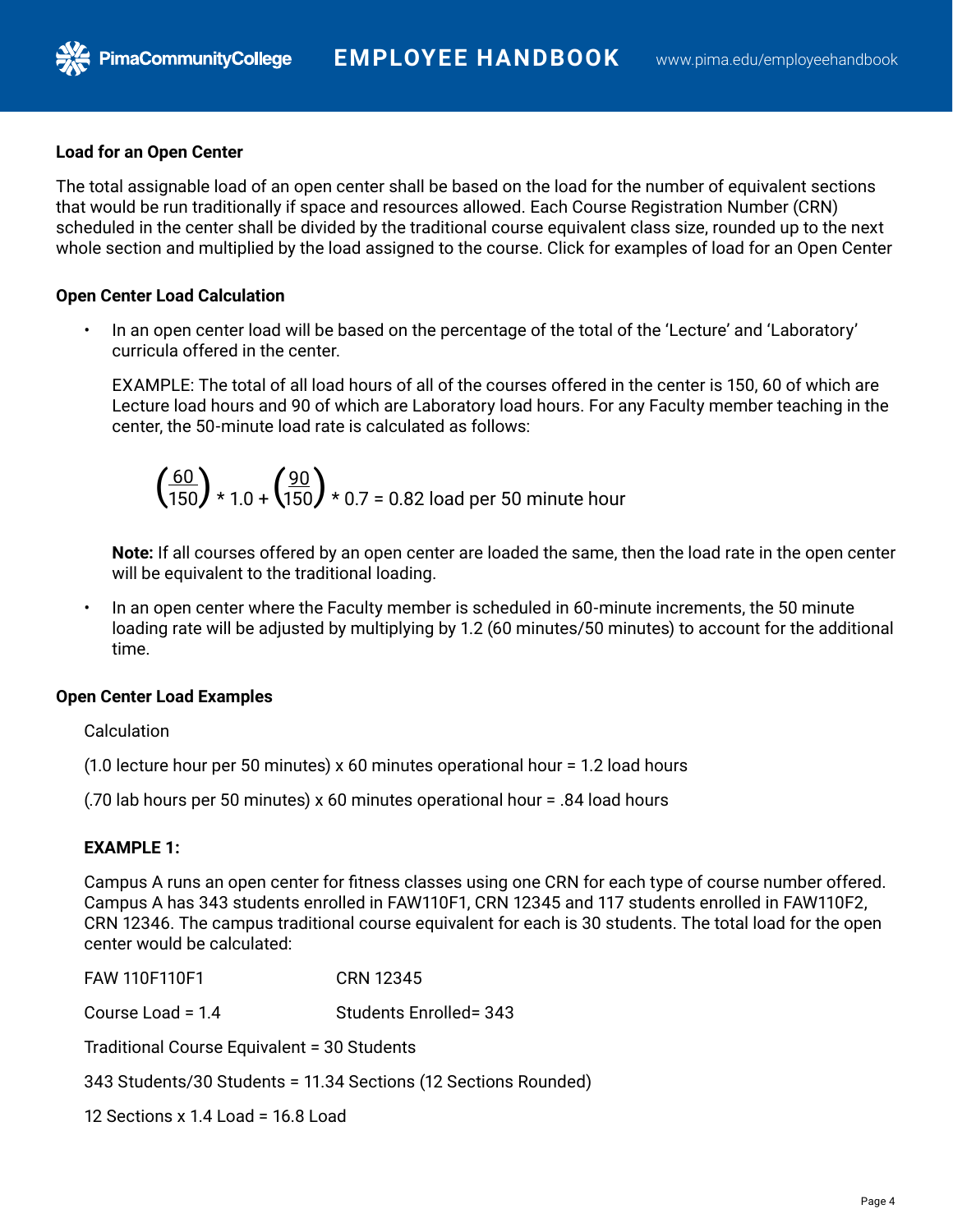### **Load for an Open Center**

PimaCommunityCollege

The total assignable load of an open center shall be based on the load for the number of equivalent sections that would be run traditionally if space and resources allowed. Each Course Registration Number (CRN) scheduled in the center shall be divided by the traditional course equivalent class size, rounded up to the next whole section and multiplied by the load assigned to the course. Click for examples of load for an Open Center

### **Open Center Load Calculation**

• In an open center load will be based on the percentage of the total of the 'Lecture' and 'Laboratory' curricula offered in the center.

EXAMPLE: The total of all load hours of all of the courses offered in the center is 150, 60 of which are Lecture load hours and 90 of which are Laboratory load hours. For any Faculty member teaching in the center, the 50-minute load rate is calculated as follows:

$$
\left(\frac{60}{150}\right) \times 1.0 + \left(\frac{90}{150}\right) \times 0.7 = 0.82
$$
 load per 50 minute hour

**Note:** If all courses offered by an open center are loaded the same, then the load rate in the open center will be equivalent to the traditional loading.

• In an open center where the Faculty member is scheduled in 60-minute increments, the 50 minute loading rate will be adjusted by multiplying by 1.2 (60 minutes/50 minutes) to account for the additional time.

### **Open Center Load Examples**

#### **Calculation**

(1.0 lecture hour per 50 minutes) x 60 minutes operational hour = 1.2 load hours

(.70 lab hours per 50 minutes) x 60 minutes operational hour = .84 load hours

## **EXAMPLE 1:**

Campus A runs an open center for fitness classes using one CRN for each type of course number offered. Campus A has 343 students enrolled in FAW110F1, CRN 12345 and 117 students enrolled in FAW110F2, CRN 12346. The campus traditional course equivalent for each is 30 students. The total load for the open center would be calculated:

FAW 110F110F1 CRN 12345 Course Load = 1.4 Students Enrolled= 343 Traditional Course Equivalent = 30 Students 343 Students/30 Students = 11.34 Sections (12 Sections Rounded)

12 Sections x 1.4 Load = 16.8 Load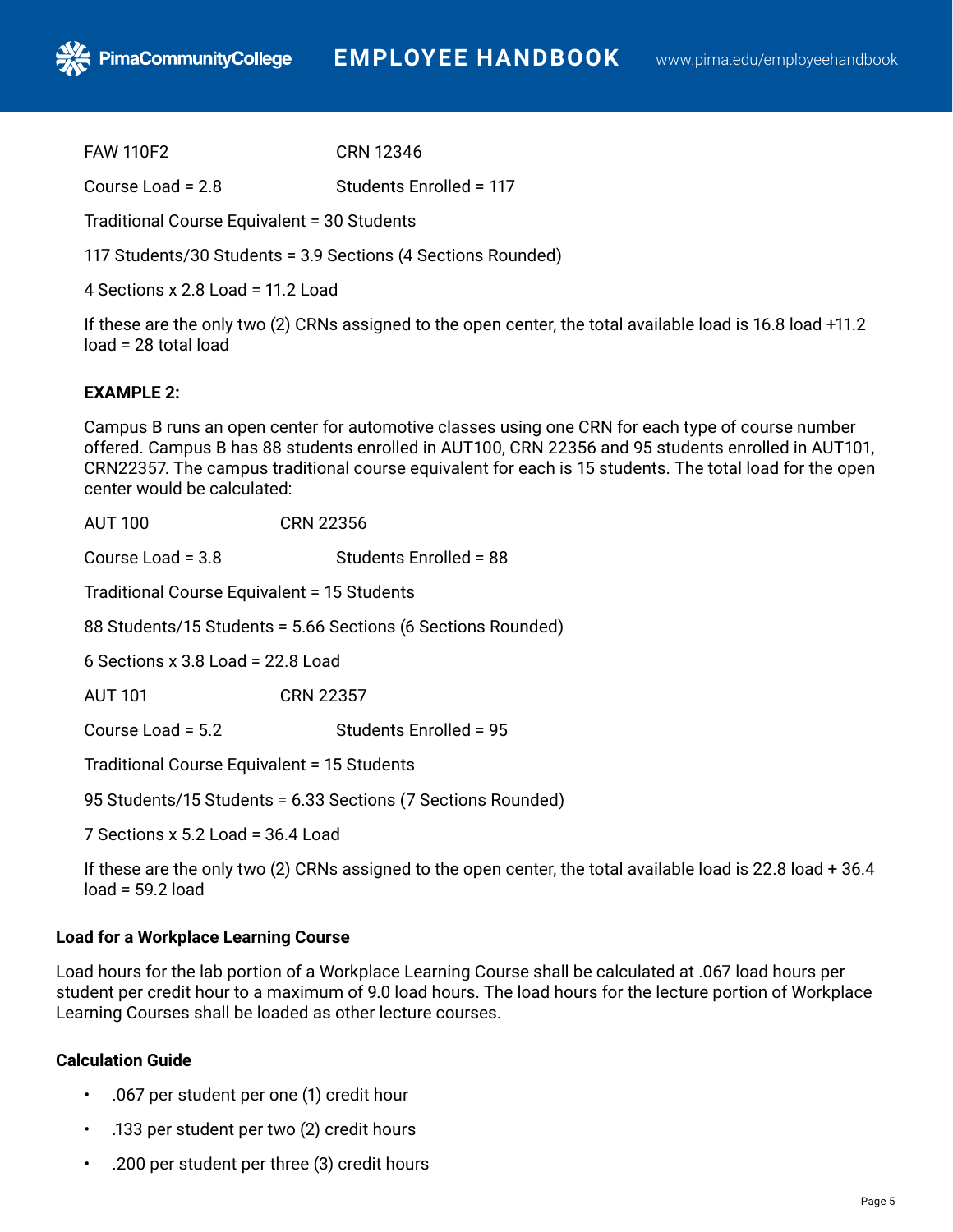FAW 110F2 CRN 12346

Course Load = 2.8 Students Enrolled = 117

Traditional Course Equivalent = 30 Students

117 Students/30 Students = 3.9 Sections (4 Sections Rounded)

4 Sections x 2.8 Load = 11.2 Load

If these are the only two (2) CRNs assigned to the open center, the total available load is 16.8 load +11.2 load = 28 total load

#### **EXAMPLE 2:**

Campus B runs an open center for automotive classes using one CRN for each type of course number offered. Campus B has 88 students enrolled in AUT100, CRN 22356 and 95 students enrolled in AUT101, CRN22357. The campus traditional course equivalent for each is 15 students. The total load for the open center would be calculated:

| <b>AUT 100</b>                                               | <b>CRN 22356</b>       |  |
|--------------------------------------------------------------|------------------------|--|
| Course Load = $3.8$                                          | Students Enrolled = 88 |  |
| Traditional Course Equivalent = 15 Students                  |                        |  |
| 88 Students/15 Students = 5.66 Sections (6 Sections Rounded) |                        |  |
| 6 Sections x 3.8 Load = $22.8$ Load                          |                        |  |
| <b>AUT 101</b>                                               | <b>CRN 22357</b>       |  |
| Course Load = 5.2                                            | Students Enrolled = 95 |  |
| Traditional Course Equivalent = 15 Students                  |                        |  |
| 95 Students/15 Students = 6.33 Sections (7 Sections Rounded) |                        |  |

7 Sections x 5.2 Load = 36.4 Load

If these are the only two (2) CRNs assigned to the open center, the total available load is 22.8 load + 36.4  $load = 59.2 load$ 

#### **Load for a Workplace Learning Course**

Load hours for the lab portion of a Workplace Learning Course shall be calculated at .067 load hours per student per credit hour to a maximum of 9.0 load hours. The load hours for the lecture portion of Workplace Learning Courses shall be loaded as other lecture courses.

### **Calculation Guide**

- .067 per student per one (1) credit hour
- .133 per student per two (2) credit hours
- .200 per student per three (3) credit hours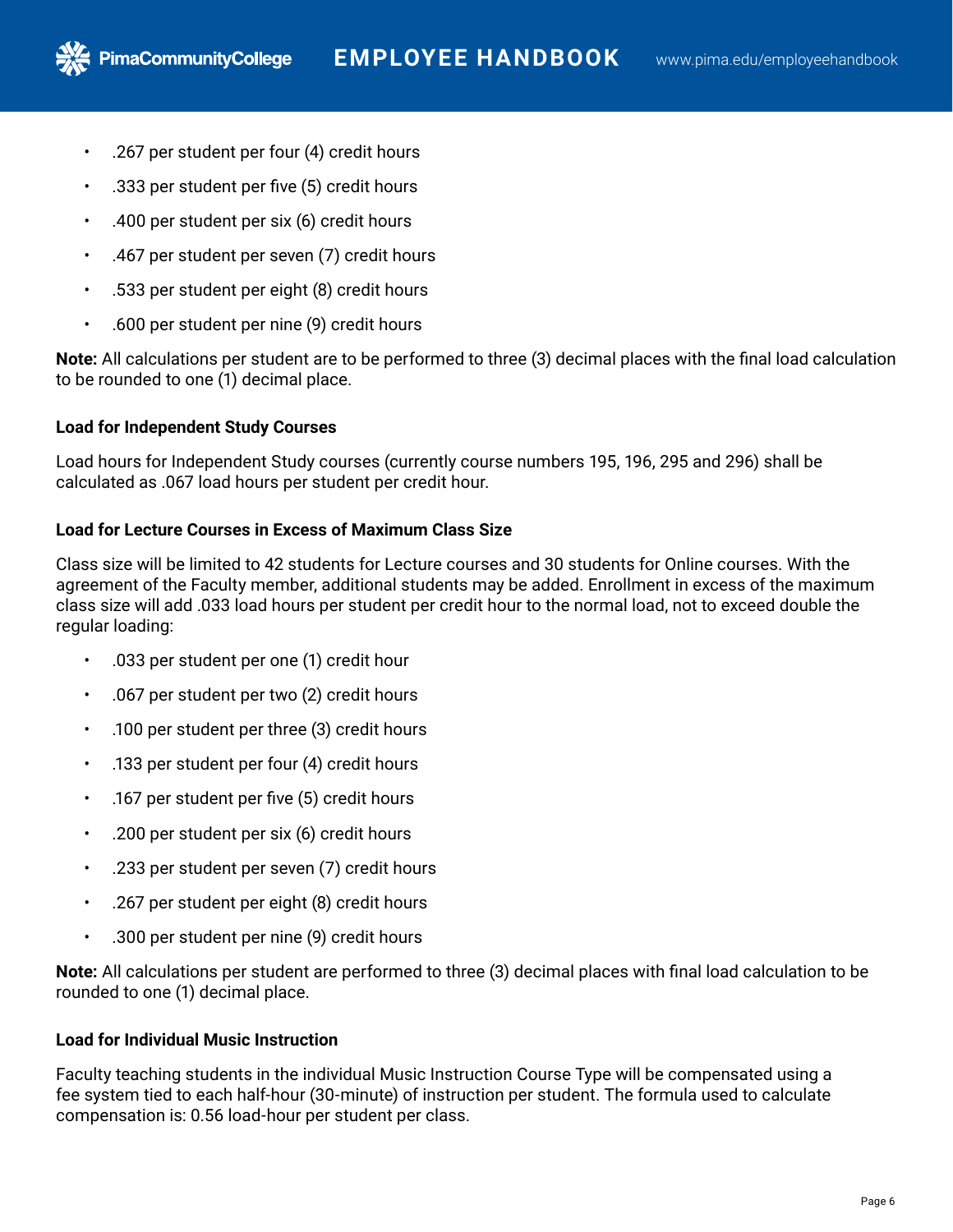• .267 per student per four (4) credit hours

**PimaCommunityCollege** 

- .333 per student per five (5) credit hours
- .400 per student per six (6) credit hours
- .467 per student per seven (7) credit hours
- .533 per student per eight (8) credit hours
- .600 per student per nine (9) credit hours

**Note:** All calculations per student are to be performed to three (3) decimal places with the final load calculation to be rounded to one (1) decimal place.

# **Load for Independent Study Courses**

Load hours for Independent Study courses (currently course numbers 195, 196, 295 and 296) shall be calculated as .067 load hours per student per credit hour.

# **Load for Lecture Courses in Excess of Maximum Class Size**

Class size will be limited to 42 students for Lecture courses and 30 students for Online courses. With the agreement of the Faculty member, additional students may be added. Enrollment in excess of the maximum class size will add .033 load hours per student per credit hour to the normal load, not to exceed double the regular loading:

- .033 per student per one (1) credit hour
- .067 per student per two (2) credit hours
- .100 per student per three (3) credit hours
- .133 per student per four (4) credit hours
- .167 per student per five (5) credit hours
- .200 per student per six (6) credit hours
- .233 per student per seven (7) credit hours
- .267 per student per eight (8) credit hours
- .300 per student per nine (9) credit hours

**Note:** All calculations per student are performed to three (3) decimal places with final load calculation to be rounded to one (1) decimal place.

# **Load for Individual Music Instruction**

Faculty teaching students in the individual Music Instruction Course Type will be compensated using a fee system tied to each half-hour (30-minute) of instruction per student. The formula used to calculate compensation is: 0.56 load-hour per student per class.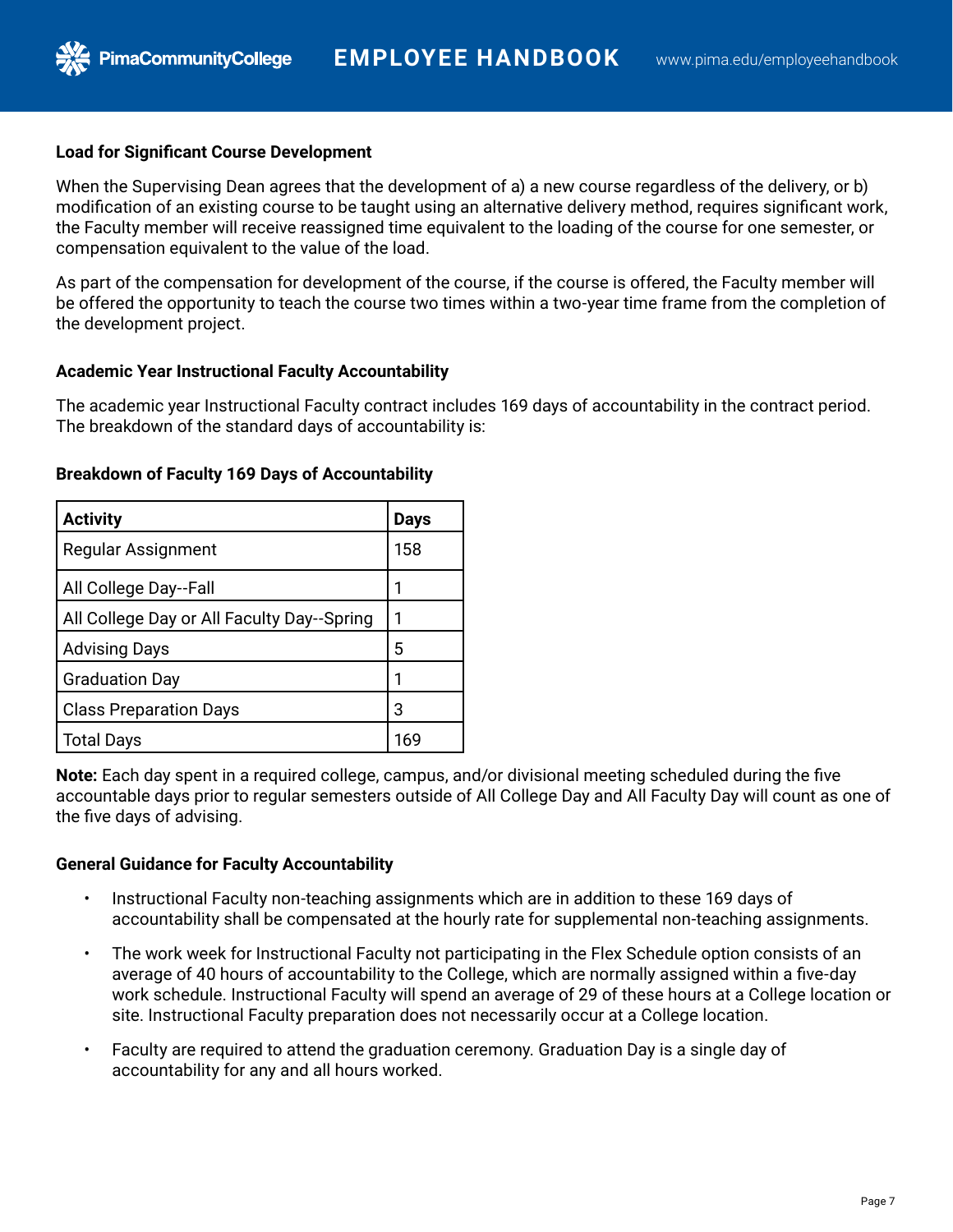### **Load for Significant Course Development**

**PimaCommunityCollege** 

When the Supervising Dean agrees that the development of a) a new course regardless of the delivery, or b) modification of an existing course to be taught using an alternative delivery method, requires significant work, the Faculty member will receive reassigned time equivalent to the loading of the course for one semester, or compensation equivalent to the value of the load.

As part of the compensation for development of the course, if the course is offered, the Faculty member will be offered the opportunity to teach the course two times within a two-year time frame from the completion of the development project.

#### **Academic Year Instructional Faculty Accountability**

The academic year Instructional Faculty contract includes 169 days of accountability in the contract period. The breakdown of the standard days of accountability is:

| <b>Activity</b>                            | <b>Days</b> |
|--------------------------------------------|-------------|
| Regular Assignment                         | 158         |
| All College Day--Fall                      |             |
| All College Day or All Faculty Day--Spring |             |
| <b>Advising Days</b>                       | 5           |
| <b>Graduation Day</b>                      |             |
| <b>Class Preparation Days</b>              | 3           |
| Total Days                                 | 169         |

#### **Breakdown of Faculty 169 Days of Accountability**

**Note:** Each day spent in a required college, campus, and/or divisional meeting scheduled during the five accountable days prior to regular semesters outside of All College Day and All Faculty Day will count as one of the five days of advising.

### **General Guidance for Faculty Accountability**

- Instructional Faculty non-teaching assignments which are in addition to these 169 days of accountability shall be compensated at the hourly rate for supplemental non-teaching assignments.
- The work week for Instructional Faculty not participating in the Flex Schedule option consists of an average of 40 hours of accountability to the College, which are normally assigned within a five-day work schedule. Instructional Faculty will spend an average of 29 of these hours at a College location or site. Instructional Faculty preparation does not necessarily occur at a College location.
- Faculty are required to attend the graduation ceremony. Graduation Day is a single day of accountability for any and all hours worked.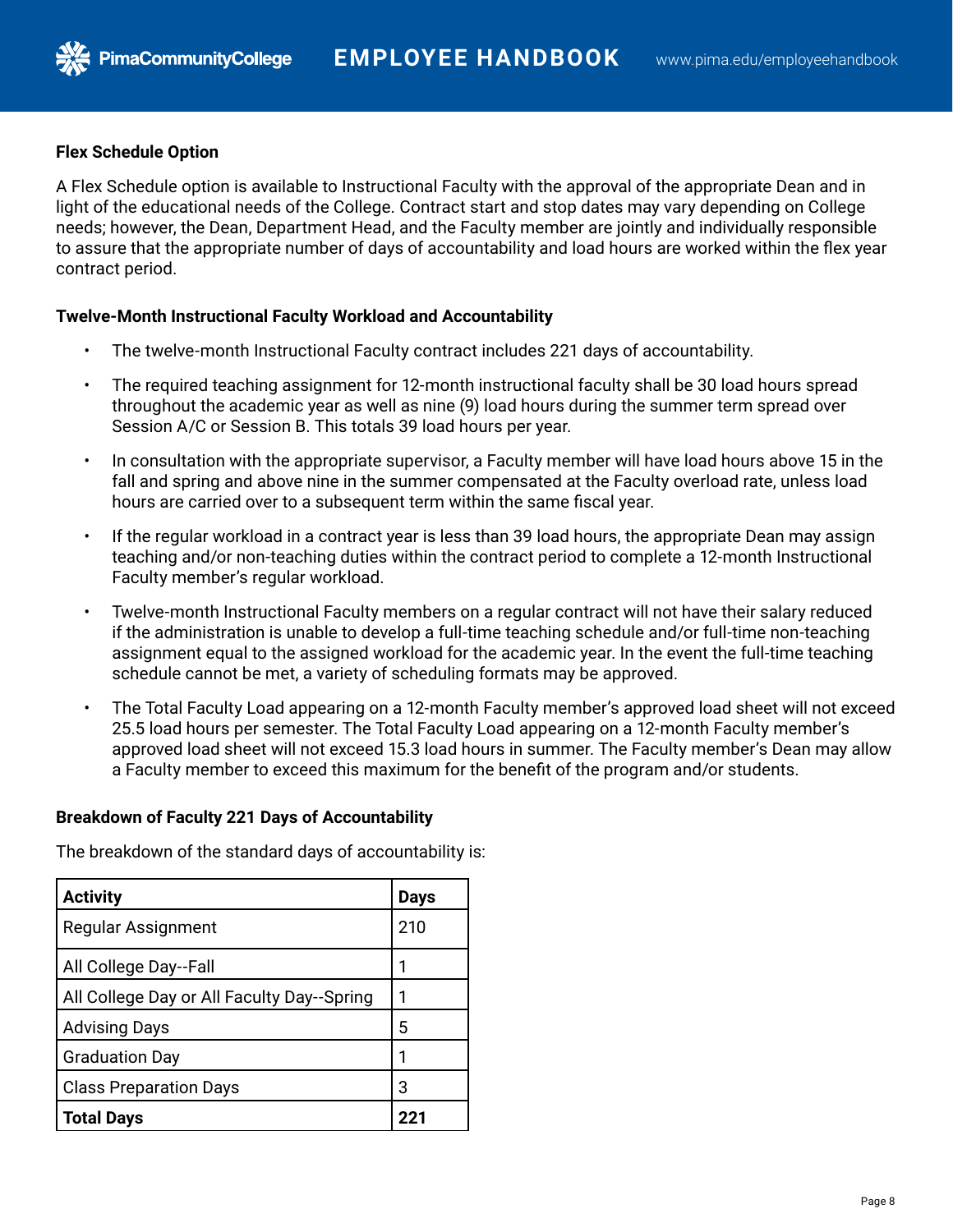### **Flex Schedule Option**

**PimaCommunityCollege** 

A Flex Schedule option is available to Instructional Faculty with the approval of the appropriate Dean and in light of the educational needs of the College. Contract start and stop dates may vary depending on College needs; however, the Dean, Department Head, and the Faculty member are jointly and individually responsible to assure that the appropriate number of days of accountability and load hours are worked within the flex year contract period.

### **Twelve-Month Instructional Faculty Workload and Accountability**

- The twelve-month Instructional Faculty contract includes 221 days of accountability.
- The required teaching assignment for 12-month instructional faculty shall be 30 load hours spread throughout the academic year as well as nine (9) load hours during the summer term spread over Session A/C or Session B. This totals 39 load hours per year.
- In consultation with the appropriate supervisor, a Faculty member will have load hours above 15 in the fall and spring and above nine in the summer compensated at the Faculty overload rate, unless load hours are carried over to a subsequent term within the same fiscal year.
- If the regular workload in a contract year is less than 39 load hours, the appropriate Dean may assign teaching and/or non-teaching duties within the contract period to complete a 12-month Instructional Faculty member's regular workload.
- Twelve-month Instructional Faculty members on a regular contract will not have their salary reduced if the administration is unable to develop a full-time teaching schedule and/or full-time non-teaching assignment equal to the assigned workload for the academic year. In the event the full-time teaching schedule cannot be met, a variety of scheduling formats may be approved.
- The Total Faculty Load appearing on a 12-month Faculty member's approved load sheet will not exceed 25.5 load hours per semester. The Total Faculty Load appearing on a 12-month Faculty member's approved load sheet will not exceed 15.3 load hours in summer. The Faculty member's Dean may allow a Faculty member to exceed this maximum for the benefit of the program and/or students.

### **Breakdown of Faculty 221 Days of Accountability**

The breakdown of the standard days of accountability is:

| <b>Activity</b>                            | <b>Days</b> |
|--------------------------------------------|-------------|
| <b>Regular Assignment</b>                  | 210         |
| All College Day--Fall                      | 1           |
| All College Day or All Faculty Day--Spring | 1           |
| <b>Advising Days</b>                       | 5           |
| <b>Graduation Day</b>                      | 1           |
| <b>Class Preparation Days</b>              | 3           |
| <b>Total Days</b>                          | クク・         |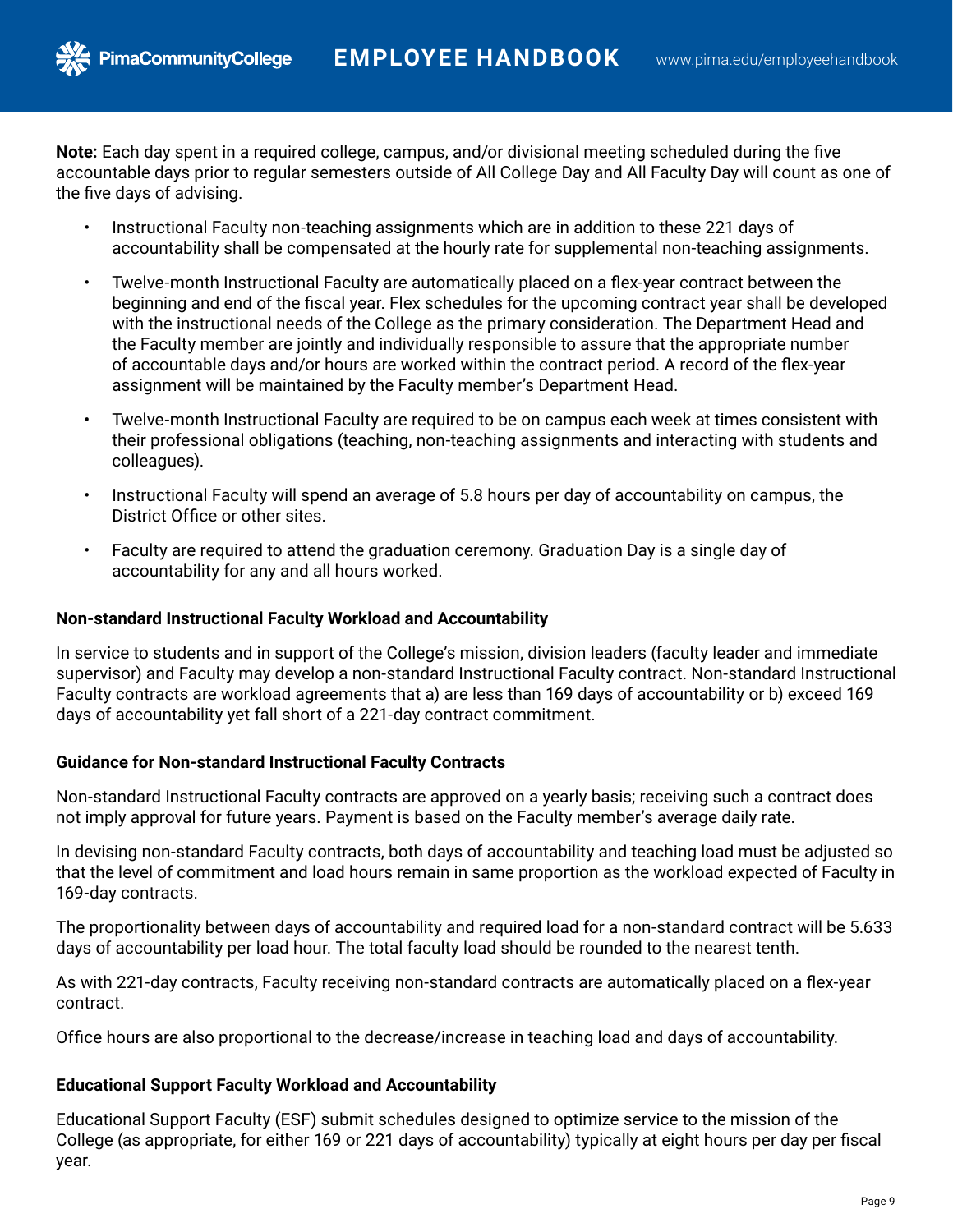**Note:** Each day spent in a required college, campus, and/or divisional meeting scheduled during the five accountable days prior to regular semesters outside of All College Day and All Faculty Day will count as one of the five days of advising.

- Instructional Faculty non-teaching assignments which are in addition to these 221 days of accountability shall be compensated at the hourly rate for supplemental non-teaching assignments.
- Twelve-month Instructional Faculty are automatically placed on a flex-year contract between the beginning and end of the fiscal year. Flex schedules for the upcoming contract year shall be developed with the instructional needs of the College as the primary consideration. The Department Head and the Faculty member are jointly and individually responsible to assure that the appropriate number of accountable days and/or hours are worked within the contract period. A record of the flex-year assignment will be maintained by the Faculty member's Department Head.
- Twelve-month Instructional Faculty are required to be on campus each week at times consistent with their professional obligations (teaching, non-teaching assignments and interacting with students and colleagues).
- Instructional Faculty will spend an average of 5.8 hours per day of accountability on campus, the District Office or other sites.
- Faculty are required to attend the graduation ceremony. Graduation Day is a single day of accountability for any and all hours worked.

## **Non-standard Instructional Faculty Workload and Accountability**

**PimaCommunityCollege** 

In service to students and in support of the College's mission, division leaders (faculty leader and immediate supervisor) and Faculty may develop a non-standard Instructional Faculty contract. Non-standard Instructional Faculty contracts are workload agreements that a) are less than 169 days of accountability or b) exceed 169 days of accountability yet fall short of a 221-day contract commitment.

### **Guidance for Non-standard Instructional Faculty Contracts**

Non-standard Instructional Faculty contracts are approved on a yearly basis; receiving such a contract does not imply approval for future years. Payment is based on the Faculty member's average daily rate.

In devising non-standard Faculty contracts, both days of accountability and teaching load must be adjusted so that the level of commitment and load hours remain in same proportion as the workload expected of Faculty in 169-day contracts.

The proportionality between days of accountability and required load for a non-standard contract will be 5.633 days of accountability per load hour. The total faculty load should be rounded to the nearest tenth.

As with 221-day contracts, Faculty receiving non-standard contracts are automatically placed on a flex-year contract.

Office hours are also proportional to the decrease/increase in teaching load and days of accountability.

### **Educational Support Faculty Workload and Accountability**

Educational Support Faculty (ESF) submit schedules designed to optimize service to the mission of the College (as appropriate, for either 169 or 221 days of accountability) typically at eight hours per day per fiscal year.